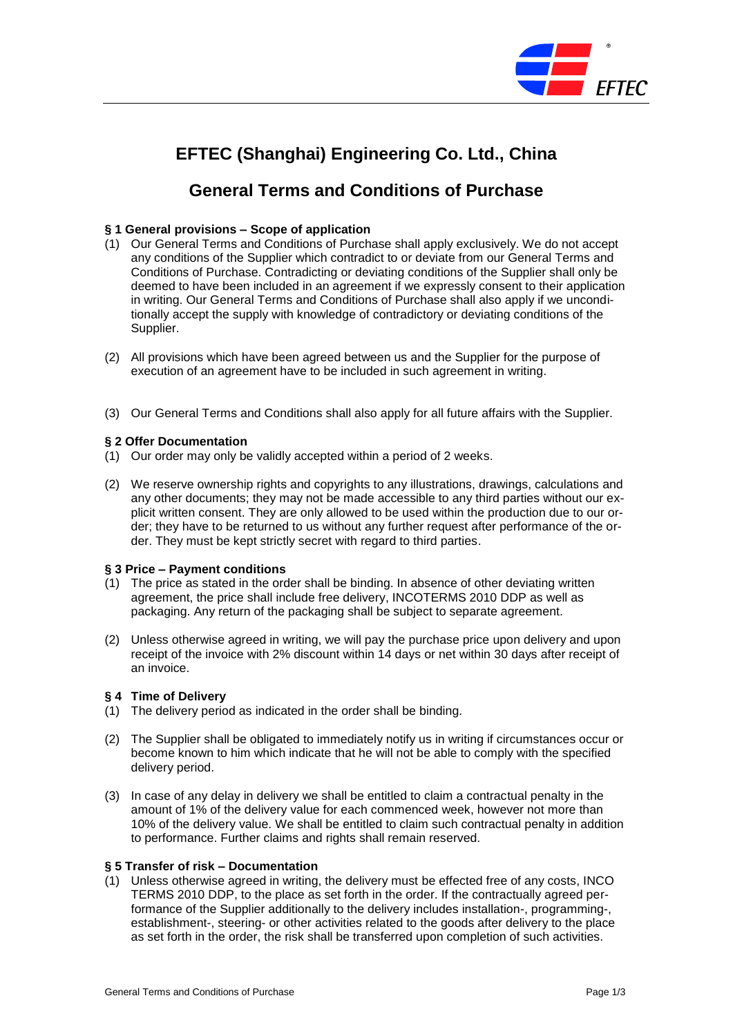

# **EFTEC (Shanghai) Engineering Co. Ltd., China**

# **General Terms and Conditions of Purchase**

# **§ 1 General provisions – Scope of application**

- (1) Our General Terms and Conditions of Purchase shall apply exclusively. We do not accept any conditions of the Supplier which contradict to or deviate from our General Terms and Conditions of Purchase. Contradicting or deviating conditions of the Supplier shall only be deemed to have been included in an agreement if we expressly consent to their application in writing. Our General Terms and Conditions of Purchase shall also apply if we unconditionally accept the supply with knowledge of contradictory or deviating conditions of the Supplier.
- (2) All provisions which have been agreed between us and the Supplier for the purpose of execution of an agreement have to be included in such agreement in writing.
- (3) Our General Terms and Conditions shall also apply for all future affairs with the Supplier.

# **§ 2 Offer Documentation**

- (1) Our order may only be validly accepted within a period of 2 weeks.
- (2) We reserve ownership rights and copyrights to any illustrations, drawings, calculations and any other documents; they may not be made accessible to any third parties without our explicit written consent. They are only allowed to be used within the production due to our order; they have to be returned to us without any further request after performance of the order. They must be kept strictly secret with regard to third parties.

# **§ 3 Price – Payment conditions**

- (1) The price as stated in the order shall be binding. In absence of other deviating written agreement, the price shall include free delivery, INCOTERMS 2010 DDP as well as packaging. Any return of the packaging shall be subject to separate agreement.
- (2) Unless otherwise agreed in writing, we will pay the purchase price upon delivery and upon receipt of the invoice with 2% discount within 14 days or net within 30 days after receipt of an invoice.

# **§ 4 Time of Delivery**

- (1) The delivery period as indicated in the order shall be binding.
- (2) The Supplier shall be obligated to immediately notify us in writing if circumstances occur or become known to him which indicate that he will not be able to comply with the specified delivery period.
- (3) In case of any delay in delivery we shall be entitled to claim a contractual penalty in the amount of 1% of the delivery value for each commenced week, however not more than 10% of the delivery value. We shall be entitled to claim such contractual penalty in addition to performance. Further claims and rights shall remain reserved.

#### **§ 5 Transfer of risk – Documentation**

(1) Unless otherwise agreed in writing, the delivery must be effected free of any costs, INCO TERMS 2010 DDP, to the place as set forth in the order. If the contractually agreed performance of the Supplier additionally to the delivery includes installation-, programming-, establishment-, steering- or other activities related to the goods after delivery to the place as set forth in the order, the risk shall be transferred upon completion of such activities.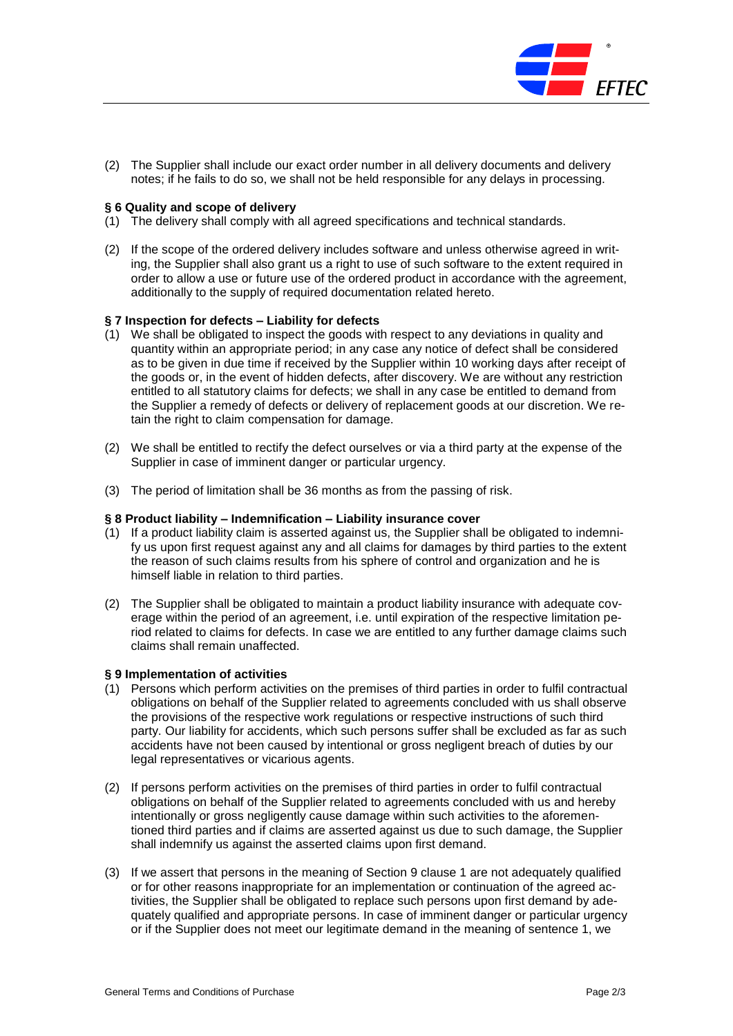

(2) The Supplier shall include our exact order number in all delivery documents and delivery notes; if he fails to do so, we shall not be held responsible for any delays in processing.

#### **§ 6 Quality and scope of delivery**

- (1) The delivery shall comply with all agreed specifications and technical standards.
- (2) If the scope of the ordered delivery includes software and unless otherwise agreed in writing, the Supplier shall also grant us a right to use of such software to the extent required in order to allow a use or future use of the ordered product in accordance with the agreement, additionally to the supply of required documentation related hereto.

#### **§ 7 Inspection for defects – Liability for defects**

- (1) We shall be obligated to inspect the goods with respect to any deviations in quality and quantity within an appropriate period; in any case any notice of defect shall be considered as to be given in due time if received by the Supplier within 10 working days after receipt of the goods or, in the event of hidden defects, after discovery. We are without any restriction entitled to all statutory claims for defects; we shall in any case be entitled to demand from the Supplier a remedy of defects or delivery of replacement goods at our discretion. We retain the right to claim compensation for damage.
- (2) We shall be entitled to rectify the defect ourselves or via a third party at the expense of the Supplier in case of imminent danger or particular urgency.
- (3) The period of limitation shall be 36 months as from the passing of risk.

# **§ 8 Product liability – Indemnification – Liability insurance cover**

- (1) If a product liability claim is asserted against us, the Supplier shall be obligated to indemnify us upon first request against any and all claims for damages by third parties to the extent the reason of such claims results from his sphere of control and organization and he is himself liable in relation to third parties.
- (2) The Supplier shall be obligated to maintain a product liability insurance with adequate coverage within the period of an agreement, i.e. until expiration of the respective limitation period related to claims for defects. In case we are entitled to any further damage claims such claims shall remain unaffected.

#### **§ 9 Implementation of activities**

- (1) Persons which perform activities on the premises of third parties in order to fulfil contractual obligations on behalf of the Supplier related to agreements concluded with us shall observe the provisions of the respective work regulations or respective instructions of such third party. Our liability for accidents, which such persons suffer shall be excluded as far as such accidents have not been caused by intentional or gross negligent breach of duties by our legal representatives or vicarious agents.
- (2) If persons perform activities on the premises of third parties in order to fulfil contractual obligations on behalf of the Supplier related to agreements concluded with us and hereby intentionally or gross negligently cause damage within such activities to the aforementioned third parties and if claims are asserted against us due to such damage, the Supplier shall indemnify us against the asserted claims upon first demand.
- (3) If we assert that persons in the meaning of Section 9 clause 1 are not adequately qualified or for other reasons inappropriate for an implementation or continuation of the agreed activities, the Supplier shall be obligated to replace such persons upon first demand by adequately qualified and appropriate persons. In case of imminent danger or particular urgency or if the Supplier does not meet our legitimate demand in the meaning of sentence 1, we